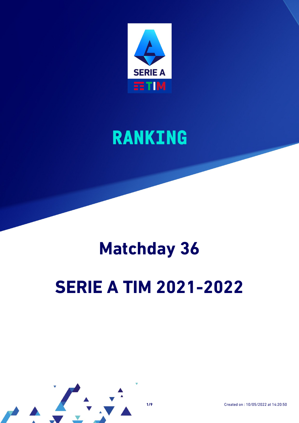

# **RANKING**

# **Matchday 36**

# **SERIE A TIM 2021-2022**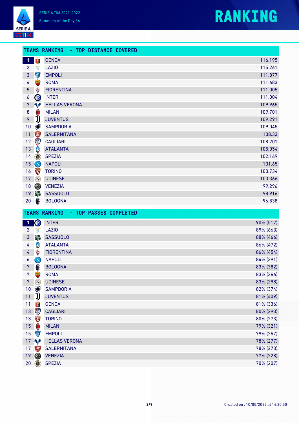### **RANKING**

| <b>SERIE A</b> |  |
|----------------|--|
|                |  |

|                 |                                                 | <b>TEAMS RANKING - TOP DISTANCE COVERED</b>    |                        |
|-----------------|-------------------------------------------------|------------------------------------------------|------------------------|
| $\mathbf{1}$    | 粵                                               | <b>GENOA</b>                                   | 116.195                |
| $\overline{2}$  | ð                                               | <b>LAZIO</b>                                   | 115.261                |
| 3               | 中                                               | <b>EMPOLI</b>                                  | 111.877                |
| 4               |                                                 | <b>ROMA</b>                                    | 111.683                |
| 5               | ♦                                               | <b>FIORENTINA</b>                              | 111.005                |
| 6               | W                                               | <b>INTER</b>                                   | 111.004                |
| $\overline{7}$  | <b>Ap</b>                                       | <b>HELLAS VERONA</b>                           | 109.965                |
| $\bf 8$         | $\textcolor{red}{\textcolor{blue}{\textbf{0}}}$ | <b>MILAN</b>                                   | 109.701                |
| 9               | IJ                                              | <b>JUVENTUS</b>                                | 109.291                |
| 10              |                                                 | <b>SAMPDORIA</b>                               | 109.045                |
| 11              | $\sum_{mn}$                                     | <b>SALERNITANA</b>                             | 108.33                 |
| 12              | \$                                              | <b>CAGLIARI</b>                                | 108.201                |
| 13              | C                                               | <b>ATALANTA</b>                                | 105.054                |
| 14              | $\circledcirc$                                  | <b>SPEZIA</b>                                  | 102.169                |
| 15              | $\bigcirc$                                      | <b>NAPOLI</b>                                  | 101.65                 |
| 16              | <b>TORING</b>                                   | <b>TORINO</b>                                  | 100.734                |
| 17              | $\circ$                                         | <b>UDINESE</b>                                 | 100.366                |
| 18              | $\circledcirc$                                  | <b>VENEZIA</b>                                 | 99.296                 |
| 19              |                                                 | <b>SASSUOLO</b>                                | 98.916                 |
| 20              | $\mathbf \theta$                                | <b>BOLOGNA</b>                                 | 96.838                 |
|                 |                                                 |                                                |                        |
|                 |                                                 | <b>TEAMS RANKING</b><br>- TOP PASSES COMPLETED |                        |
| $\mathbf{1}$    | <b>OLD</b>                                      | <b>INTER</b>                                   | 90% (517)              |
| $\overline{2}$  | ð                                               | <b>LAZIO</b>                                   | 89% (663)              |
| $\mathbf{3}$    | 鄮                                               | <b>SASSUOLO</b>                                | 88% (466)              |
| 4               | C                                               | <b>ATALANTA</b>                                | 86% (472)              |
| 4               | ♦                                               | <b>FIORENTINA</b>                              | 86% (454)              |
| 6               | $\bigcirc$                                      | <b>NAPOLI</b>                                  | 84% (391)              |
| 7 <sup>7</sup>  | 6                                               | <b>BOLOGNA</b>                                 | 83% (382)              |
| 7 <sup>1</sup>  | $\frac{1}{2}$                                   | <b>ROMA</b>                                    | 83% (366)              |
| 7 <sup>7</sup>  | $\bigcirc$                                      | <b>UDINESE</b>                                 | 83% (298)              |
| 10              | $\bullet$                                       | <b>SAMPDORIA</b>                               | 82% (374)              |
| 11              | IJ                                              | <b>JUVENTUS</b>                                | 81% (409)              |
| 11              | 零                                               | <b>GENOA</b>                                   | 81% (336)              |
| 13              | \$                                              | <b>CAGLIARI</b>                                | 80% (293)              |
| 13              | TORING                                          | <b>TORINO</b>                                  | 80% (273)              |
| 15              | $\textcolor{red}{\textcolor{blue}{\textbf{0}}}$ | <b>MILAN</b>                                   | 79% (321)              |
| 15              | Ç                                               | <b>EMPOLI</b>                                  | 79% (257)              |
| 17 <sup>2</sup> | NA                                              | <b>HELLAS VERONA</b>                           | 78% (277)              |
| 17              | $\left  \frac{1}{2} \right $                    | <b>SALERNITANA</b>                             | 78% (273)              |
| 19<br>$20\,$    | $\circledcirc$<br>$\circledcirc$                | <b>VENEZIA</b><br><b>SPEZIA</b>                | 77% (228)<br>70% (207) |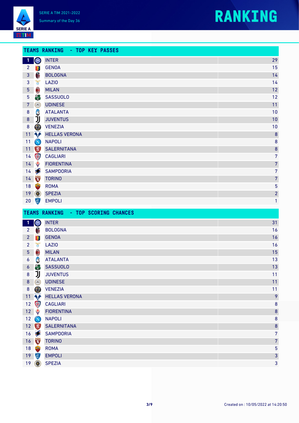



I

|                 |                                                 | <b>TEAMS RANKING - TOP KEY PASSES</b> |                |
|-----------------|-------------------------------------------------|---------------------------------------|----------------|
| 1               | OIO                                             | <b>INTER</b>                          | 29             |
| $2^{\circ}$     | 零                                               | <b>GENOA</b>                          | 15             |
| 3 <sup>1</sup>  | 6                                               | <b>BOLOGNA</b>                        | 14             |
| 3               | Ŏ                                               | <b>LAZIO</b>                          | 14             |
| 5 <sub>5</sub>  | $\textcolor{red}{\textcolor{blue}{\textbf{0}}}$ | <b>MILAN</b>                          | 12             |
| $5\phantom{.0}$ | 高                                               | <b>SASSUOLO</b>                       | 12             |
| $7\phantom{.}$  | $\circledcirc$                                  | <b>UDINESE</b>                        | 11             |
| $\bf 8$         | C                                               | <b>ATALANTA</b>                       | 10             |
| 8               | IJ                                              | <b>JUVENTUS</b>                       | 10             |
| $\bf 8$         | O                                               | <b>VENEZIA</b>                        | 10             |
| 11              | <b>Agri</b>                                     | <b>HELLAS VERONA</b>                  | 8              |
| 11              | $\bigcirc$                                      | <b>NAPOLI</b>                         | 8              |
| 11              |                                                 | <b>SALERNITANA</b>                    | 8              |
| 14              | 零                                               | <b>CAGLIARI</b>                       | 7              |
| 14              | ♦                                               | <b>FIORENTINA</b>                     | 7              |
| 14              |                                                 | <b>SAMPDORIA</b>                      | 7              |
| 14              | TORINO                                          | <b>TORINO</b>                         | 7              |
| 18              |                                                 | <b>ROMA</b>                           | 5              |
| 19              | $\circledcirc$                                  | <b>SPEZIA</b>                         | $\overline{a}$ |

|                  | 20                                              | <b>EMPOLI</b>                                 | 1              |
|------------------|-------------------------------------------------|-----------------------------------------------|----------------|
|                  |                                                 | - TOP SCORING CHANCES<br><b>TEAMS RANKING</b> |                |
| $\vert$ 1        | OIO                                             | <b>INTER</b>                                  | 31             |
| 2 <sup>1</sup>   | $\bigoplus$                                     | <b>BOLOGNA</b>                                | 16             |
| $\overline{2}$   | 零                                               | <b>GENOA</b>                                  | 16             |
| 2                | Ŏ                                               | <b>LAZIO</b>                                  | 16             |
| 5 <sup>5</sup>   | $\textcolor{red}{\textcolor{blue}{\textbf{0}}}$ | <b>MILAN</b>                                  | 15             |
| $\boldsymbol{6}$ | C                                               | <b>ATALANTA</b>                               | 13             |
| $\boldsymbol{6}$ | 剛                                               | <b>SASSUOLO</b>                               | 13             |
| $\bf 8$          | IJ                                              | <b>JUVENTUS</b>                               | 11             |
| $8\phantom{1}$   | $\circledcirc$                                  | <b>UDINESE</b>                                | 11             |
| $\boldsymbol{8}$ | $\circledS$                                     | <b>VENEZIA</b>                                | 11             |
| 11               | <b>Ap</b>                                       | <b>HELLAS VERONA</b>                          | 9              |
| 12               | 鄂                                               | <b>CAGLIARI</b>                               | 8              |
| 12               | ♦                                               | <b>FIORENTINA</b>                             | 8              |
| 12               | $\bigcirc$                                      | <b>NAPOLI</b>                                 | 8              |
| 12               |                                                 | <b>SALERNITANA</b>                            | 8              |
| 16               |                                                 | <b>SAMPDORIA</b>                              | $\overline{7}$ |
| 16               |                                                 | <b>TORINO</b>                                 | 7              |
| 18               |                                                 | <b>ROMA</b>                                   | 5              |
| 19               | (6)                                             | <b>EMPOLI</b>                                 | 3              |
| 19               | $\circledcirc$                                  | <b>SPEZIA</b>                                 | 3              |
|                  |                                                 |                                               |                |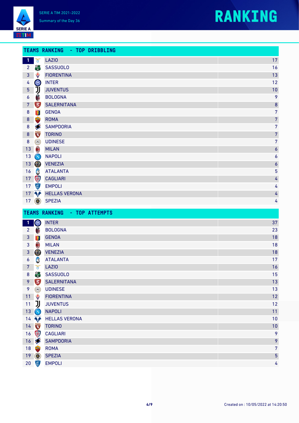



|                |                                                 | TEAMS RANKING - TOP DRIBBLING |                  |
|----------------|-------------------------------------------------|-------------------------------|------------------|
| $\mathbf{1}$   | $\mathbf{r}$                                    | <b>LAZIO</b>                  | 17               |
| 2 <sup>2</sup> | 高                                               | <b>SASSUOLO</b>               | 16               |
| 3 <sup>1</sup> | ♦                                               | <b>FIORENTINA</b>             | 13               |
| $\overline{4}$ | OIO                                             | <b>INTER</b>                  | 12               |
| 5 <sub>5</sub> | IJ                                              | <b>JUVENTUS</b>               | 10               |
| 6              | 0                                               | <b>BOLOGNA</b>                | 9                |
| $\overline{7}$ | $\sum_{n=1}^{\infty}$                           | <b>SALERNITANA</b>            | 8                |
| 8              | 零                                               | <b>GENOA</b>                  | $\overline{7}$   |
| $\bf 8$        |                                                 | <b>ROMA</b>                   | $\overline{7}$   |
| $\bf 8$        | $\clubsuit$                                     | <b>SAMPDORIA</b>              | $\overline{7}$   |
| $\bf 8$        | TORINO<br>Capache<br>Capache                    | <b>TORINO</b>                 | $\overline{7}$   |
| 8              | $\Omega$                                        | <b>UDINESE</b>                | $\overline{7}$   |
| 13             | $\textcolor{red}{\textcolor{blue}{\textbf{0}}}$ | <b>MILAN</b>                  | $\boldsymbol{6}$ |
| 13             | $\bigcirc$                                      | <b>NAPOLI</b>                 | 6                |
| 13             | $\circledcirc$                                  | <b>VENEZIA</b>                | $\boldsymbol{6}$ |
| 16             | S                                               | <b>ATALANTA</b>               | 5                |
| 17             | $\circledast$                                   | <b>CAGLIARI</b>               | 4                |
| 17             | (章)                                             | <b>EMPOLI</b>                 | 4                |
|                | 17 1                                            | <b>HELLAS VERONA</b>          | 4                |
|                | $17$ $\circledcirc$                             | <b>SPEZIA</b>                 | 4                |
|                |                                                 |                               |                  |

|                     |                                                                                                                                                                                                                                                                                                                                                                                                                                                   | - TOP ATTEMPTS<br><b>TEAMS RANKING</b> |                |
|---------------------|---------------------------------------------------------------------------------------------------------------------------------------------------------------------------------------------------------------------------------------------------------------------------------------------------------------------------------------------------------------------------------------------------------------------------------------------------|----------------------------------------|----------------|
| $\mathbf{1}$        | OLO                                                                                                                                                                                                                                                                                                                                                                                                                                               | <b>INTER</b>                           | 37             |
| 2 <sup>2</sup>      | 6                                                                                                                                                                                                                                                                                                                                                                                                                                                 | <b>BOLOGNA</b>                         | 23             |
| 3                   | 零                                                                                                                                                                                                                                                                                                                                                                                                                                                 | <b>GENOA</b>                           | 18             |
| $\mathbf{3}$        | $\textcolor{red}{\textcolor{blue}{\textbf{0}}}$                                                                                                                                                                                                                                                                                                                                                                                                   | <b>MILAN</b>                           | 18             |
| $\mathbf{3}$        | 0                                                                                                                                                                                                                                                                                                                                                                                                                                                 | <b>VENEZIA</b>                         | 18             |
| 6                   | C                                                                                                                                                                                                                                                                                                                                                                                                                                                 | <b>ATALANTA</b>                        | 17             |
| $\overline{7}$      | ð                                                                                                                                                                                                                                                                                                                                                                                                                                                 | <b>LAZIO</b>                           | 16             |
| $\bf 8$             | 簡                                                                                                                                                                                                                                                                                                                                                                                                                                                 | <b>SASSUOLO</b>                        | 15             |
| 9                   | $\begin{tabular}{ c c } \hline \hline \multicolumn{1}{ c }{\hspace{-1.5ex}\textbf{1}}\\ \hline \multicolumn{1}{ c }{\hspace{-1.5ex}\textbf{1}}\\ \hline \multicolumn{1}{ c }{\hspace{-1.5ex}\textbf{1}}\\ \hline \multicolumn{1}{ c }{\hspace{-1.5ex}\textbf{1}}\\ \hline \multicolumn{1}{ c }{\hspace{-1.5ex}\textbf{1}}\\ \hline \multicolumn{1}{ c }{\hspace{-1.5ex}\textbf{1}}\\ \hline \multicolumn{1}{ c }{\hspace{-1.5ex}\textbf{1}}\\ \h$ | <b>SALERNITANA</b>                     | 13             |
| 9                   | $\Omega$                                                                                                                                                                                                                                                                                                                                                                                                                                          | <b>UDINESE</b>                         | 13             |
| 11                  | ♦                                                                                                                                                                                                                                                                                                                                                                                                                                                 | <b>FIORENTINA</b>                      | 12             |
| 11                  | IJ                                                                                                                                                                                                                                                                                                                                                                                                                                                | <b>JUVENTUS</b>                        | 12             |
| 13 <sup>°</sup>     | $\bigcirc$                                                                                                                                                                                                                                                                                                                                                                                                                                        | <b>NAPOLI</b>                          | 11             |
|                     | 14                                                                                                                                                                                                                                                                                                                                                                                                                                                | <b>HELLAS VERONA</b>                   | 10             |
| 14                  | <b>TORINO</b>                                                                                                                                                                                                                                                                                                                                                                                                                                     | <b>TORINO</b>                          | 10             |
| 16                  | \$                                                                                                                                                                                                                                                                                                                                                                                                                                                | <b>CAGLIARI</b>                        | 9              |
| 16                  |                                                                                                                                                                                                                                                                                                                                                                                                                                                   | <b>SAMPDORIA</b>                       | 9              |
| 18                  |                                                                                                                                                                                                                                                                                                                                                                                                                                                   | <b>ROMA</b>                            | $\overline{7}$ |
| $19$ $\circledcirc$ |                                                                                                                                                                                                                                                                                                                                                                                                                                                   | <b>SPEZIA</b>                          | $\overline{5}$ |
| 20 <sub>2</sub>     | $\left( \frac{1}{2} \right)$                                                                                                                                                                                                                                                                                                                                                                                                                      | <b>EMPOLI</b>                          | 4              |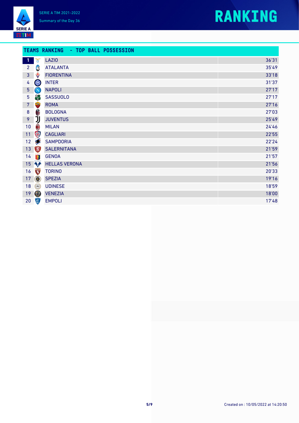



#### **TEAMS RANKING - TOP BALL POSSESSION**

| $\blacksquare$  | $\mathcal{L}$  | <b>LAZIO</b>         | 36'31 |
|-----------------|----------------|----------------------|-------|
| $\overline{2}$  | C              | <b>ATALANTA</b>      | 35'49 |
| $\mathbf{3}$    | ♦              | <b>FIORENTINA</b>    | 33'18 |
| 4               | W              | <b>INTER</b>         | 31'37 |
| 5               | $\bigcirc$     | <b>NAPOLI</b>        | 27'17 |
| $\overline{5}$  | 高              | <b>SASSUOLO</b>      | 27'17 |
| 7               |                | <b>ROMA</b>          | 27'16 |
| $\bf 8$         | 6              | <b>BOLOGNA</b>       | 27'03 |
| 9               | リ              | <b>JUVENTUS</b>      | 25'49 |
| $10\,$          | $\bigcirc$     | <b>MILAN</b>         | 24'46 |
| 11              | \$             | <b>CAGLIARI</b>      | 22'55 |
| 12              |                | <b>SAMPDORIA</b>     | 22'24 |
| 13              |                | <b>SALERNITANA</b>   | 21'59 |
| 14              | 零              | <b>GENOA</b>         | 21'57 |
| 15 <sub>1</sub> | <b>NA</b>      | <b>HELLAS VERONA</b> | 21'56 |
| 16              | TORINO         | <b>TORINO</b>        | 20'33 |
| 17              | $\circledcirc$ | <b>SPEZIA</b>        | 19'16 |
| 18              |                | <b>UDINESE</b>       | 18'59 |
| 19              | O              | <b>VENEZIA</b>       | 18'00 |
| 20              | 使              | <b>EMPOLI</b>        | 17'48 |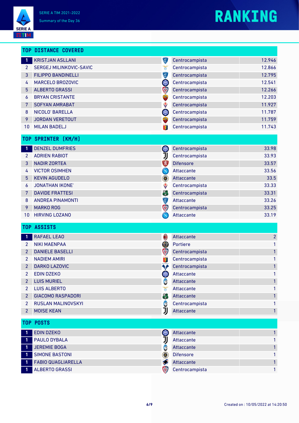**SERIE A** EETIM.



|                 | <b>TOP DISTANCE COVERED</b> |                                                 |                  |                |
|-----------------|-----------------------------|-------------------------------------------------|------------------|----------------|
| $\mathbf{1}$    | <b>KRISTJAN ASLLANI</b>     | (E)                                             | Centrocampista   | 12.946         |
| $\overline{2}$  | SERGEJ MILINKOVIC-SAVIC     | ð                                               | Centrocampista   | 12.866         |
| 3               | <b>FILIPPO BANDINELLI</b>   | 停                                               | Centrocampista   | 12.795         |
| 4               | MARCELO BROZOVIC            | OIO                                             | Centrocampista   | 12.541         |
| 5               | <b>ALBERTO GRASSI</b>       | Q                                               | Centrocampista   | 12.266         |
| 6               | <b>BRYAN CRISTANTE</b>      | E                                               | Centrocampista   | 12.203         |
| 7               | <b>SOFYAN AMRABAT</b>       | ♦                                               | Centrocampista   | 11.927         |
| 8               | NICOLO' BARELLA             | OIO                                             | Centrocampista   | 11.787         |
| 9               | <b>JORDAN VERETOUT</b>      | <b>STARK</b>                                    | Centrocampista   | 11.759         |
| 10              | <b>MILAN BADELJ</b>         | 零                                               | Centrocampista   | 11.743         |
| T <sub>OP</sub> | <b>SPRINTER [KM/H]</b>      |                                                 |                  |                |
| -1              | <b>DENZEL DUMFRIES</b>      | OIO                                             | Centrocampista   | 33.98          |
| $\overline{2}$  | <b>ADRIEN RABIOT</b>        | IJ                                              | Centrocampista   | 33.93          |
| 3               | <b>NADIR ZORTEA</b>         | <b>EXI</b>                                      | <b>Difensore</b> | 33.57          |
| 4               | <b>VICTOR OSIMHEN</b>       | $\left( \mathbf{N}\right)$                      | Attaccante       | 33.56          |
| 5               | <b>KEVIN AGUDELO</b>        | ۱                                               | Attaccante       | 33.5           |
| 6               | <b>JONATHAN IKONE</b>       | ♦                                               | Centrocampista   | 33.33          |
| 7               | <b>DAVIDE FRATTESI</b>      | 高                                               | Centrocampista   | 33.31          |
| 8               | <b>ANDREA PINAMONTI</b>     | Ç                                               | Attaccante       | 33.26          |
| 9               | <b>MARKO ROG</b>            | \$                                              | Centrocampista   | 33.25          |
| 10              | <b>HIRVING LOZANO</b>       | $\left( \mathbf{N}\right)$                      | Attaccante       | 33.19          |
|                 | TOP ASSISTS                 |                                                 |                  |                |
| 1               | <b>RAFAEL LEAO</b>          | $\textcolor{red}{\textcolor{blue}{\textbf{0}}}$ | Attaccante       | $\overline{a}$ |
| $\overline{2}$  | <b>NIKI MAENPAA</b>         | O)                                              | Portiere         | 1              |
| 2               | <b>DANIELE BASELLI</b>      | \$                                              | Centrocampista   | 1              |
| $\overline{2}$  | <b>NADIEM AMIRI</b>         | 粵                                               | Centrocampista   | 1              |
| $\overline{2}$  | DARKO LAZOVIC               | ₠₽                                              | Centrocampista   | 1              |
| 2               | <b>EDIN DZEKO</b>           | OIO                                             | Attaccante       | 1              |
| 2               | <b>LUIS MURIEL</b>          | G                                               | Attaccante       |                |
| 2               | <b>LUIS ALBERTO</b>         | ň                                               | Attaccante       | 1              |
| 2               | <b>GIACOMO RASPADORI</b>    | 刪                                               | Attaccante       | 1              |
| 2               | <b>RUSLAN MALINOVSKYI</b>   | C                                               | Centrocampista   | 1              |
| 2               | <b>MOISE KEAN</b>           | IJ                                              | Attaccante       | 1              |
| TOP             | <b>POSTS</b>                |                                                 |                  |                |
| -1              | <b>EDIN DZEKO</b>           | OIO                                             | Attaccante       | 1              |
| 1               | PAULO DYBALA                | IJ                                              | Attaccante       | 1              |
| Ø               | <b>JEREMIE BOGA</b>         | C                                               | Attaccante       | 1              |
| 1               | <b>SIMONE BASTONI</b>       | ۱                                               | <b>Difensore</b> | 1              |
| $\mathbf{1}$    | <b>FABIO QUAGLIARELLA</b>   | 多                                               | Attaccante       | 1              |
|                 | <b>ALBERTO GRASSI</b>       | 第                                               | Centrocampista   | 1              |
|                 |                             |                                                 |                  |                |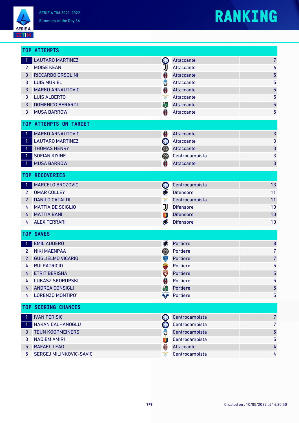**SERIE A EETIM** 

# **RANKING**

|                | <b>TOP ATTEMPTS</b>        |                 |                  |                |
|----------------|----------------------------|-----------------|------------------|----------------|
| $\blacksquare$ | <b>LAUTARO MARTINEZ</b>    | W               | Attaccante       | 7              |
| $\overline{2}$ | <b>MOISE KEAN</b>          | IJ              | Attaccante       | 6              |
| 3              | <b>RICCARDO ORSOLINI</b>   | Â               | Attaccante       | 5              |
| 3              | <b>LUIS MURIEL</b>         | Ĝ               | Attaccante       | 5              |
| 3              | <b>MARKO ARNAUTOVIC</b>    | A               | Attaccante       | 5              |
| 3              | <b>LUIS ALBERTO</b>        | ď               | Attaccante       | 5              |
| 3              | <b>DOMENICO BERARDI</b>    | 篇               | Attaccante       | 5              |
| 3              | <b>MUSA BARROW</b>         | Â               | Attaccante       | 5              |
|                | TOP ATTEMPTS ON TARGET     |                 |                  |                |
| $\mathbf{1}$   | <b>MARKO ARNAUTOVIC</b>    | 6               | Attaccante       | 3              |
| $\blacksquare$ | <b>LAUTARO MARTINEZ</b>    | OIO             | Attaccante       | 3              |
| -1             | <b>THOMAS HENRY</b>        | O)              | Attaccante       | 3              |
| $\blacksquare$ | <b>SOFIAN KIYINE</b>       | (Ø)             | Centrocampista   | 3              |
| -1             | <b>MUSA BARROW</b>         | A               | Attaccante       | 3              |
|                | <b>TOP RECOVERIES</b>      |                 |                  |                |
| $\mathbf{1}$   | MARCELO BROZOVIC           | W               | Centrocampista   | 13             |
| $2^{\circ}$    | <b>OMAR COLLEY</b>         | S               | <b>Difensore</b> | 11             |
| 2              | <b>DANILO CATALDI</b>      | ð               | Centrocampista   | 11             |
| 4              | <b>MATTIA DE SCIGLIO</b>   | IJ              | <b>Difensore</b> | 10             |
| 4              | <b>MATTIA BANI</b>         | 嗪               | <b>Difensore</b> | 10             |
| 4              | <b>ALEX FERRARI</b>        | S               | <b>Difensore</b> | 10             |
|                | <b>TOP SAVES</b>           |                 |                  |                |
| $\overline{1}$ | <b>EMIL AUDERO</b>         | Ø               | Portiere         | 8              |
| 2              | <b>NIKI MAENPAA</b>        | (9)             | Portiere         | 7              |
| $\overline{2}$ | <b>GUGLIELMO VICARIO</b>   | Ç               | Portiere         | 7              |
| 4              | <b>RUI PATRICIO</b>        |                 | Portiere         | 5              |
| 4              | <b>ETRIT BERISHA</b>       | TORING          | Portiere         | 5              |
| 4              | <b>LUKASZ SKORUPSKI</b>    | Â               | Portiere         | 5              |
| 4              | <b>ANDREA CONSIGLI</b>     | 高               | Portiere         | 5              |
| 4              | LORENZO MONTIPO'           | ▚ <mark></mark> | Portiere         | 5              |
|                | <b>TOP SCORING CHANCES</b> |                 |                  |                |
| 1              | <b>IVAN PERISIC</b>        | <b>OIO</b>      | Centrocampista   | $\overline{7}$ |
| -1             | <b>HAKAN CALHANOGLU</b>    | <b>OLD</b>      | Centrocampista   | 7              |
| 3              | <b>TEUN KOOPMEINERS</b>    | C               | Centrocampista   | 5              |
| 3              | <b>NADIEM AMIRI</b>        | 箋               | Centrocampista   | 5              |
| 5              | <b>RAFAEL LEAO</b>         | 0               | Attaccante       | 4              |
| 5              | SERGEJ MILINKOVIC-SAVIC    | ð               | Centrocampista   | 4              |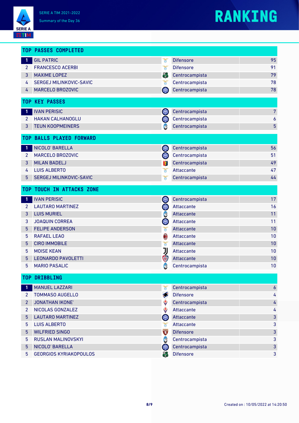# **RANKING**

|                       | <b>TOP PASSES COMPLETED</b>   |                                          |                  |                  |
|-----------------------|-------------------------------|------------------------------------------|------------------|------------------|
| 1                     | <b>GIL PATRIC</b>             | ð                                        | <b>Difensore</b> | 95               |
| $\mathbf{2}^{\prime}$ | <b>FRANCESCO ACERBI</b>       | ď                                        | <b>Difensore</b> | 91               |
| 3                     | <b>MAXIME LOPEZ</b>           | 高                                        | Centrocampista   | 79               |
| 4                     | SERGEJ MILINKOVIC-SAVIC       | Ŏ                                        | Centrocampista   | 78               |
| 4                     | MARCELO BROZOVIC              | OIO                                      | Centrocampista   | 78               |
| <b>TOP</b>            | <b>KEY PASSES</b>             |                                          |                  |                  |
| $\mathbf{1}$          | <b>IVAN PERISIC</b>           | <b>OIO</b>                               | Centrocampista   | $\overline{7}$   |
| $\mathbf{2}^{\prime}$ | <b>HAKAN CALHANOGLU</b>       | W                                        | Centrocampista   | 6                |
| 3                     | <b>TEUN KOOPMEINERS</b>       | C                                        | Centrocampista   | 5                |
| T <sub>OP</sub>       | <b>BALLS PLAYED FORWARD</b>   |                                          |                  |                  |
| $\mathbf{1}$          | NICOLO' BARELLA               | W                                        | Centrocampista   | 56               |
| $\mathbf{2}$          | MARCELO BROZOVIC              | OIO                                      | Centrocampista   | 51               |
| 3                     | <b>MILAN BADELJ</b>           | 粵                                        | Centrocampista   | 49               |
| 4                     | <b>LUIS ALBERTO</b>           | ð                                        | Attaccante       | 47               |
| 5                     | SERGEJ MILINKOVIC-SAVIC       | Ŏ                                        | Centrocampista   | 44               |
| T <sub>OP</sub>       | <b>TOUCH IN ATTACKS ZONE</b>  |                                          |                  |                  |
| 1                     | <b>IVAN PERISIC</b>           | OIO                                      | Centrocampista   | 17               |
| $\overline{2}$        | <b>LAUTARO MARTINEZ</b>       | <b>OLD</b>                               | Attaccante       | 16               |
| 3                     | <b>LUIS MURIEL</b>            | C                                        | Attaccante       | 11               |
| 3                     | <b>JOAQUIN CORREA</b>         | <b>OLD</b>                               | Attaccante       | 11               |
| 5                     | <b>FELIPE ANDERSON</b>        | ð                                        | Attaccante       | 10               |
| 5                     | <b>RAFAEL LEAO</b>            | $\boldsymbol{\textcolor{blue}{\bullet}}$ | Attaccante       | 10               |
| 5                     | <b>CIRO IMMOBILE</b>          | ð                                        | Attaccante       | 10               |
| 5                     | <b>MOISE KEAN</b>             | リ                                        | Attaccante       | 10               |
| 5                     | <b>LEONARDO PAVOLETTI</b>     | \$                                       | Attaccante       | 10               |
| 5                     | <b>MARIO PASALIC</b>          | C                                        | Centrocampista   | 10               |
|                       | <b>TOP DRIBBLING</b>          |                                          |                  |                  |
| $\mathbf 1$           | <b>MANUEL LAZZARI</b>         | ð                                        | Centrocampista   | $\boldsymbol{6}$ |
| 2 <sup>1</sup>        | <b>TOMMASO AUGELLO</b>        | $\blacklozenge$                          | <b>Difensore</b> | 4                |
| $\overline{2}$        | <b>JONATHAN IKONE'</b>        | ♦                                        | Centrocampista   | 4                |
| $\overline{2}$        | NICOLAS GONZALEZ              | ♦                                        | Attaccante       | 4                |
| 5                     | <b>LAUTARO MARTINEZ</b>       | QIO                                      | Attaccante       | 3                |
| 5                     | <b>LUIS ALBERTO</b>           | Ŏ                                        | Attaccante       | 3                |
| 5                     | <b>WILFRIED SINGO</b>         | J                                        | <b>Difensore</b> | 3                |
| 5                     | RUSLAN MALINOVSKYI            | C                                        | Centrocampista   | 3                |
| 5                     | NICOLO' BARELLA               | OIO                                      | Centrocampista   | 3                |
| 5                     | <b>GEORGIOS KYRIAKOPOULOS</b> | 刪                                        | <b>Difensore</b> | 3                |